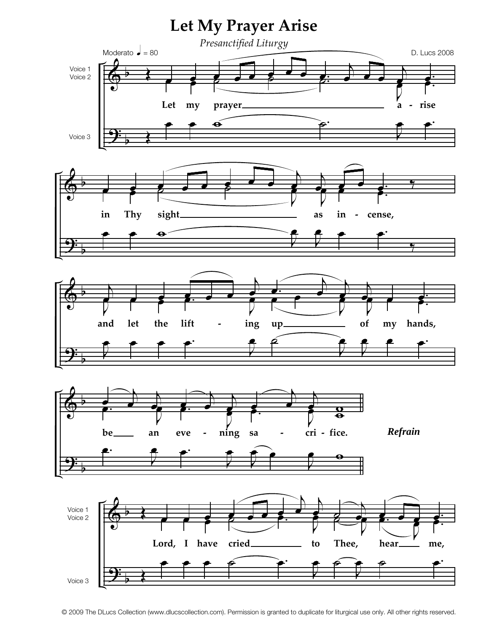

© 2009 The DLucs Collection (www.dlucscollection.com). Permission is granted to duplicate for liturgical use only. All other rights reserved.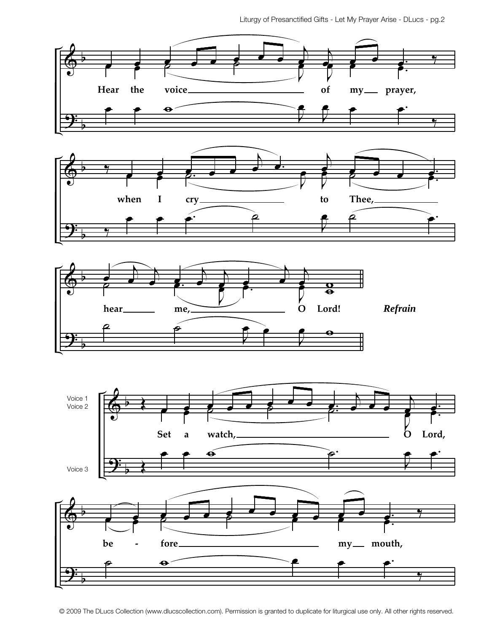